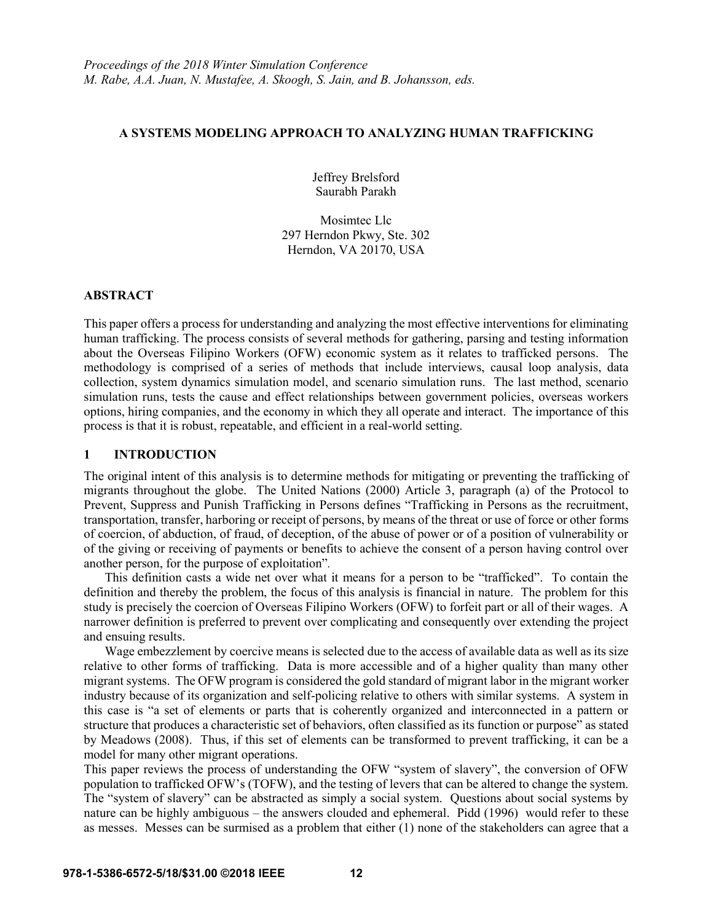## **A SYSTEMS MODELING APPROACH TO ANALYZING HUMAN TRAFFICKING**

Jeffrey Brelsford Saurabh Parakh

Mosimtec Llc 297 Herndon Pkwy, Ste. 302 Herndon, VA 20170, USA

## **ABSTRACT**

This paper offers a process for understanding and analyzing the most effective interventions for eliminating human trafficking. The process consists of several methods for gathering, parsing and testing information about the Overseas Filipino Workers (OFW) economic system as it relates to trafficked persons. The methodology is comprised of a series of methods that include interviews, causal loop analysis, data collection, system dynamics simulation model, and scenario simulation runs. The last method, scenario simulation runs, tests the cause and effect relationships between government policies, overseas workers options, hiring companies, and the economy in which they all operate and interact. The importance of this process is that it is robust, repeatable, and efficient in a real-world setting.

# **1 INTRODUCTION**

The original intent of this analysis is to determine methods for mitigating or preventing the trafficking of migrants throughout the globe. The United Nations (2000) Article 3, paragraph (a) of the Protocol to Prevent, Suppress and Punish Trafficking in Persons defines "Trafficking in Persons as the recruitment, transportation, transfer, harboring or receipt of persons, by means of the threat or use of force or other forms of coercion, of abduction, of fraud, of deception, of the abuse of power or of a position of vulnerability or of the giving or receiving of payments or benefits to achieve the consent of a person having control over another person, for the purpose of exploitation"*.*

This definition casts a wide net over what it means for a person to be "trafficked". To contain the definition and thereby the problem, the focus of this analysis is financial in nature. The problem for this study is precisely the coercion of Overseas Filipino Workers (OFW) to forfeit part or all of their wages. A narrower definition is preferred to prevent over complicating and consequently over extending the project and ensuing results.

Wage embezzlement by coercive means is selected due to the access of available data as well as its size relative to other forms of trafficking. Data is more accessible and of a higher quality than many other migrant systems. The OFW program is considered the gold standard of migrant labor in the migrant worker industry because of its organization and self-policing relative to others with similar systems. A system in this case is "a set of elements or parts that is coherently organized and interconnected in a pattern or structure that produces a characteristic set of behaviors, often classified as its function or purpose" as stated by Meadows (2008). Thus, if this set of elements can be transformed to prevent trafficking, it can be a model for many other migrant operations.

This paper reviews the process of understanding the OFW "system of slavery", the conversion of OFW population to trafficked OFW's (TOFW), and the testing of levers that can be altered to change the system. The "system of slavery" can be abstracted as simply a social system. Questions about social systems by nature can be highly ambiguous – the answers clouded and ephemeral. Pidd (1996) would refer to these as messes. Messes can be surmised as a problem that either (1) none of the stakeholders can agree that a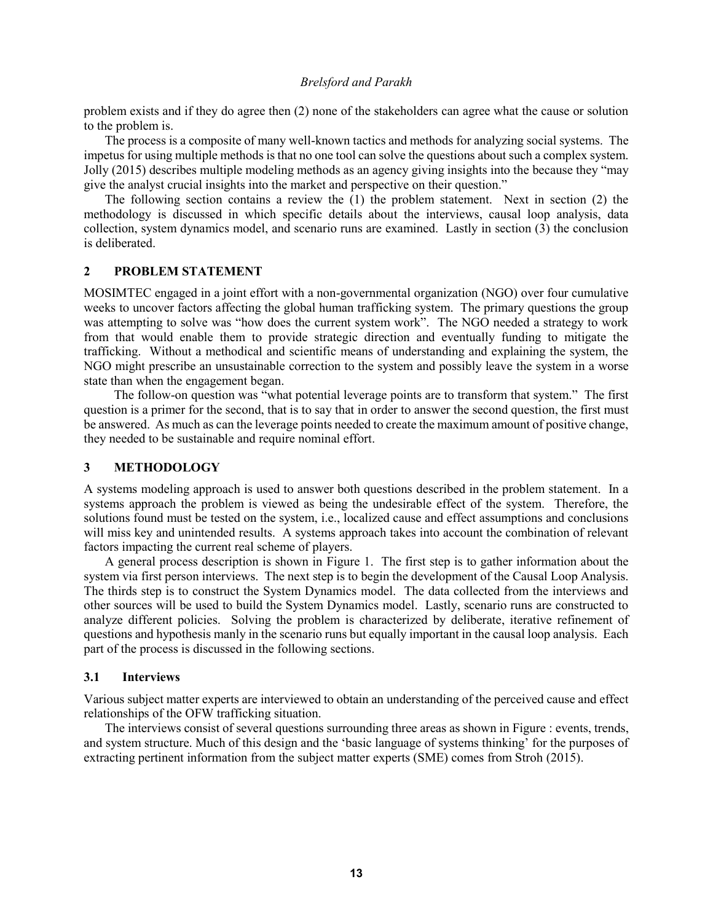problem exists and if they do agree then (2) none of the stakeholders can agree what the cause or solution to the problem is.

The process is a composite of many well-known tactics and methods for analyzing social systems. The impetus for using multiple methods is that no one tool can solve the questions about such a complex system. Jolly (2015) describes multiple modeling methods as an agency giving insights into the because they "may give the analyst crucial insights into the market and perspective on their question."

The following section contains a review the (1) the problem statement. Next in section (2) the methodology is discussed in which specific details about the interviews, causal loop analysis, data collection, system dynamics model, and scenario runs are examined. Lastly in section (3) the conclusion is deliberated.

## **2 PROBLEM STATEMENT**

MOSIMTEC engaged in a joint effort with a non-governmental organization (NGO) over four cumulative weeks to uncover factors affecting the global human trafficking system. The primary questions the group was attempting to solve was "how does the current system work". The NGO needed a strategy to work from that would enable them to provide strategic direction and eventually funding to mitigate the trafficking. Without a methodical and scientific means of understanding and explaining the system, the NGO might prescribe an unsustainable correction to the system and possibly leave the system in a worse state than when the engagement began.

The follow-on question was "what potential leverage points are to transform that system." The first question is a primer for the second, that is to say that in order to answer the second question, the first must be answered. As much as can the leverage points needed to create the maximum amount of positive change, they needed to be sustainable and require nominal effort.

## **3 METHODOLOGY**

A systems modeling approach is used to answer both questions described in the problem statement. In a systems approach the problem is viewed as being the undesirable effect of the system. Therefore, the solutions found must be tested on the system, i.e., localized cause and effect assumptions and conclusions will miss key and unintended results. A systems approach takes into account the combination of relevant factors impacting the current real scheme of players.

A general process description is shown in Figure 1. The first step is to gather information about the system via first person interviews. The next step is to begin the development of the Causal Loop Analysis. The thirds step is to construct the System Dynamics model. The data collected from the interviews and other sources will be used to build the System Dynamics model. Lastly, scenario runs are constructed to analyze different policies. Solving the problem is characterized by deliberate, iterative refinement of questions and hypothesis manly in the scenario runs but equally important in the causal loop analysis. Each part of the process is discussed in the following sections.

## **3.1 Interviews**

Various subject matter experts are interviewed to obtain an understanding of the perceived cause and effect relationships of the OFW trafficking situation.

The interviews consist of several questions surrounding three areas as shown in Figure : events, trends, and system structure. Much of this design and the 'basic language of systems thinking' for the purposes of extracting pertinent information from the subject matter experts (SME) comes from Stroh (2015).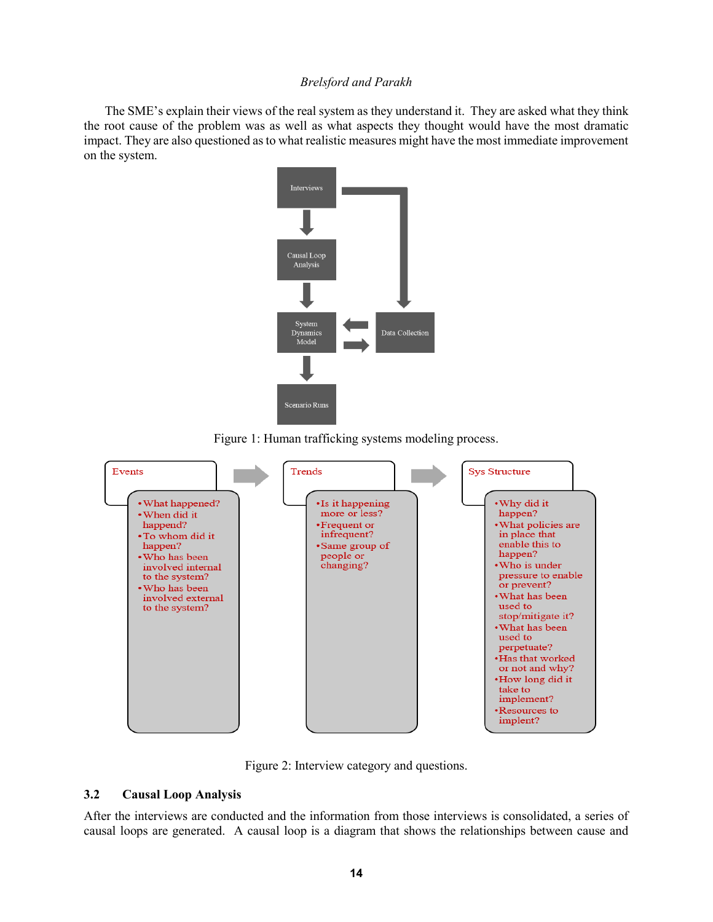The SME's explain their views of the real system as they understand it. They are asked what they think the root cause of the problem was as well as what aspects they thought would have the most dramatic impact. They are also questioned as to what realistic measures might have the most immediate improvement on the system.



Figure 1: Human trafficking systems modeling process.



Figure 2: Interview category and questions.

## **3.2 Causal Loop Analysis**

After the interviews are conducted and the information from those interviews is consolidated, a series of causal loops are generated. A causal loop is a diagram that shows the relationships between cause and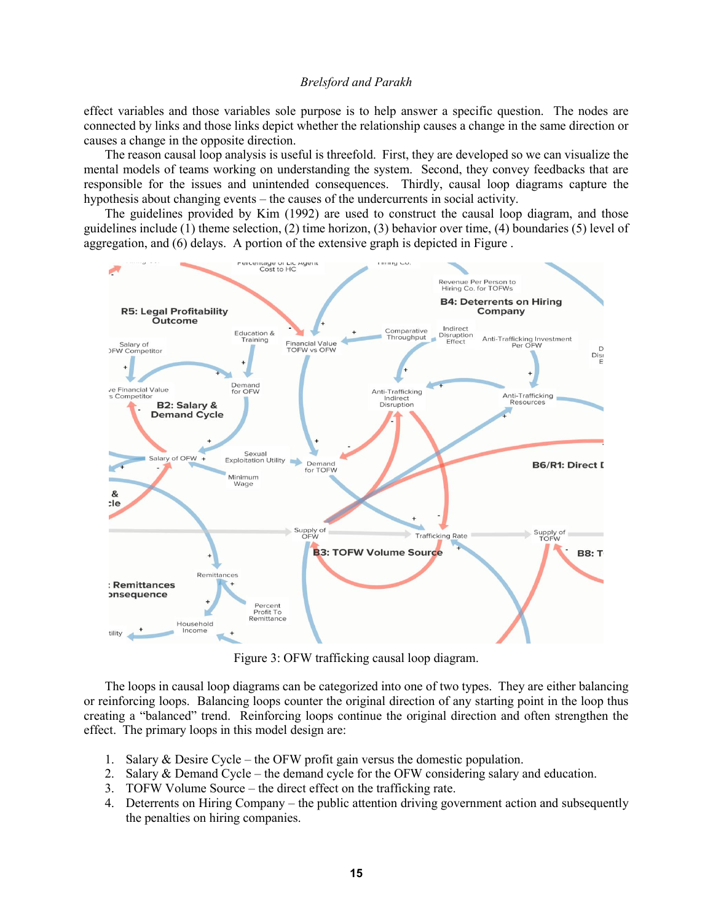effect variables and those variables sole purpose is to help answer a specific question. The nodes are connected by links and those links depict whether the relationship causes a change in the same direction or causes a change in the opposite direction.

The reason causal loop analysis is useful is threefold. First, they are developed so we can visualize the mental models of teams working on understanding the system. Second, they convey feedbacks that are responsible for the issues and unintended consequences. Thirdly, causal loop diagrams capture the hypothesis about changing events – the causes of the undercurrents in social activity.

The guidelines provided by Kim (1992) are used to construct the causal loop diagram, and those guidelines include (1) theme selection, (2) time horizon, (3) behavior over time, (4) boundaries (5) level of aggregation, and (6) delays. A portion of the extensive graph is depicted in Figure .



Figure 3: OFW trafficking causal loop diagram.

The loops in causal loop diagrams can be categorized into one of two types. They are either balancing or reinforcing loops. Balancing loops counter the original direction of any starting point in the loop thus creating a "balanced" trend. Reinforcing loops continue the original direction and often strengthen the effect. The primary loops in this model design are:

- 1. Salary & Desire Cycle the OFW profit gain versus the domestic population.
- 2. Salary & Demand Cycle the demand cycle for the OFW considering salary and education.
- 3. TOFW Volume Source the direct effect on the trafficking rate.
- 4. Deterrents on Hiring Company the public attention driving government action and subsequently the penalties on hiring companies.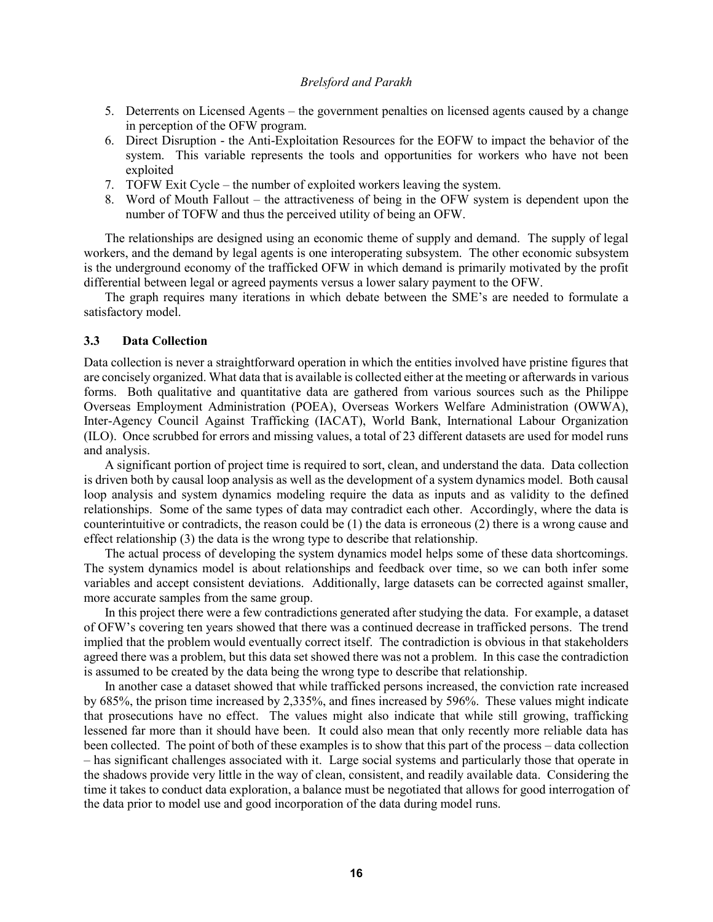- 5. Deterrents on Licensed Agents the government penalties on licensed agents caused by a change in perception of the OFW program.
- 6. Direct Disruption the Anti-Exploitation Resources for the EOFW to impact the behavior of the system. This variable represents the tools and opportunities for workers who have not been exploited
- 7. TOFW Exit Cycle the number of exploited workers leaving the system.
- 8. Word of Mouth Fallout the attractiveness of being in the OFW system is dependent upon the number of TOFW and thus the perceived utility of being an OFW.

The relationships are designed using an economic theme of supply and demand. The supply of legal workers, and the demand by legal agents is one interoperating subsystem. The other economic subsystem is the underground economy of the trafficked OFW in which demand is primarily motivated by the profit differential between legal or agreed payments versus a lower salary payment to the OFW.

The graph requires many iterations in which debate between the SME's are needed to formulate a satisfactory model.

## **3.3 Data Collection**

Data collection is never a straightforward operation in which the entities involved have pristine figures that are concisely organized. What data that is available is collected either at the meeting or afterwards in various forms. Both qualitative and quantitative data are gathered from various sources such as the Philippe Overseas Employment Administration (POEA), Overseas Workers Welfare Administration (OWWA), Inter-Agency Council Against Trafficking (IACAT), World Bank, International Labour Organization (ILO). Once scrubbed for errors and missing values, a total of 23 different datasets are used for model runs and analysis.

A significant portion of project time is required to sort, clean, and understand the data. Data collection is driven both by causal loop analysis as well as the development of a system dynamics model. Both causal loop analysis and system dynamics modeling require the data as inputs and as validity to the defined relationships. Some of the same types of data may contradict each other. Accordingly, where the data is counterintuitive or contradicts, the reason could be (1) the data is erroneous (2) there is a wrong cause and effect relationship (3) the data is the wrong type to describe that relationship.

The actual process of developing the system dynamics model helps some of these data shortcomings. The system dynamics model is about relationships and feedback over time, so we can both infer some variables and accept consistent deviations. Additionally, large datasets can be corrected against smaller, more accurate samples from the same group.

In this project there were a few contradictions generated after studying the data. For example, a dataset of OFW's covering ten years showed that there was a continued decrease in trafficked persons. The trend implied that the problem would eventually correct itself. The contradiction is obvious in that stakeholders agreed there was a problem, but this data set showed there was not a problem. In this case the contradiction is assumed to be created by the data being the wrong type to describe that relationship.

In another case a dataset showed that while trafficked persons increased, the conviction rate increased by 685%, the prison time increased by 2,335%, and fines increased by 596%. These values might indicate that prosecutions have no effect. The values might also indicate that while still growing, trafficking lessened far more than it should have been. It could also mean that only recently more reliable data has been collected. The point of both of these examples is to show that this part of the process – data collection – has significant challenges associated with it. Large social systems and particularly those that operate in the shadows provide very little in the way of clean, consistent, and readily available data. Considering the time it takes to conduct data exploration, a balance must be negotiated that allows for good interrogation of the data prior to model use and good incorporation of the data during model runs.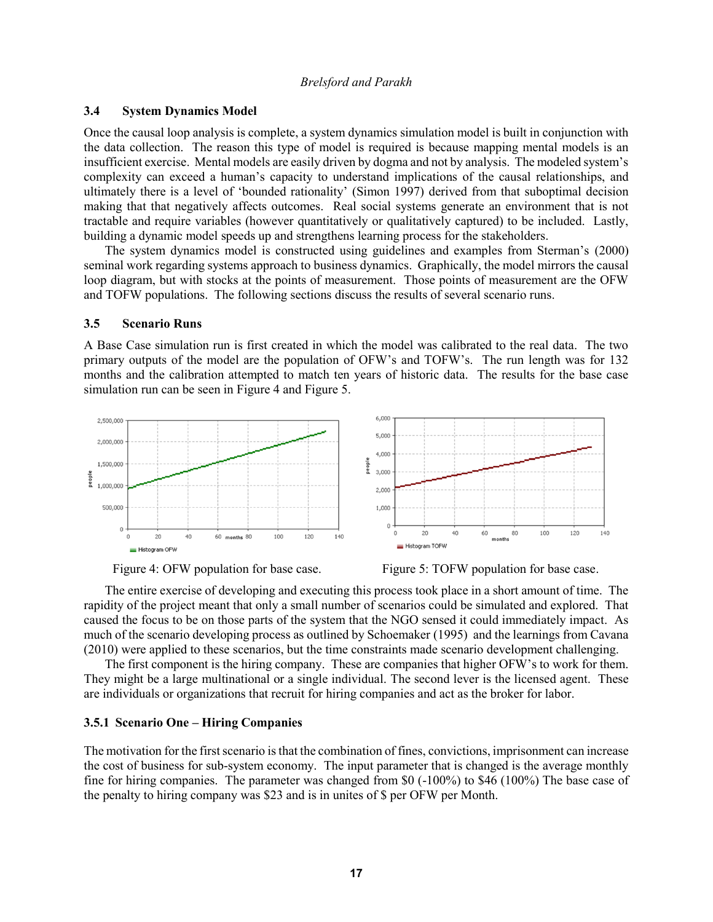## **3.4 System Dynamics Model**

Once the causal loop analysis is complete, a system dynamics simulation model is built in conjunction with the data collection. The reason this type of model is required is because mapping mental models is an insufficient exercise. Mental models are easily driven by dogma and not by analysis. The modeled system's complexity can exceed a human's capacity to understand implications of the causal relationships, and ultimately there is a level of 'bounded rationality' (Simon 1997) derived from that suboptimal decision making that that negatively affects outcomes. Real social systems generate an environment that is not tractable and require variables (however quantitatively or qualitatively captured) to be included. Lastly, building a dynamic model speeds up and strengthens learning process for the stakeholders.

The system dynamics model is constructed using guidelines and examples from Sterman's (2000) seminal work regarding systems approach to business dynamics. Graphically, the model mirrors the causal loop diagram, but with stocks at the points of measurement. Those points of measurement are the OFW and TOFW populations. The following sections discuss the results of several scenario runs.

#### **3.5 Scenario Runs**

A Base Case simulation run is first created in which the model was calibrated to the real data. The two primary outputs of the model are the population of OFW's and TOFW's. The run length was for 132 months and the calibration attempted to match ten years of historic data. The results for the base case simulation run can be seen in Figure 4 and Figure 5.







The entire exercise of developing and executing this process took place in a short amount of time. The rapidity of the project meant that only a small number of scenarios could be simulated and explored. That caused the focus to be on those parts of the system that the NGO sensed it could immediately impact. As much of the scenario developing process as outlined by Schoemaker (1995) and the learnings from Cavana (2010) were applied to these scenarios, but the time constraints made scenario development challenging.

The first component is the hiring company. These are companies that higher OFW's to work for them. They might be a large multinational or a single individual. The second lever is the licensed agent. These are individuals or organizations that recruit for hiring companies and act as the broker for labor.

#### **3.5.1 Scenario One – Hiring Companies**

The motivation for the first scenario is that the combination of fines, convictions, imprisonment can increase the cost of business for sub-system economy. The input parameter that is changed is the average monthly fine for hiring companies. The parameter was changed from \$0 (-100%) to \$46 (100%) The base case of the penalty to hiring company was \$23 and is in unites of \$ per OFW per Month.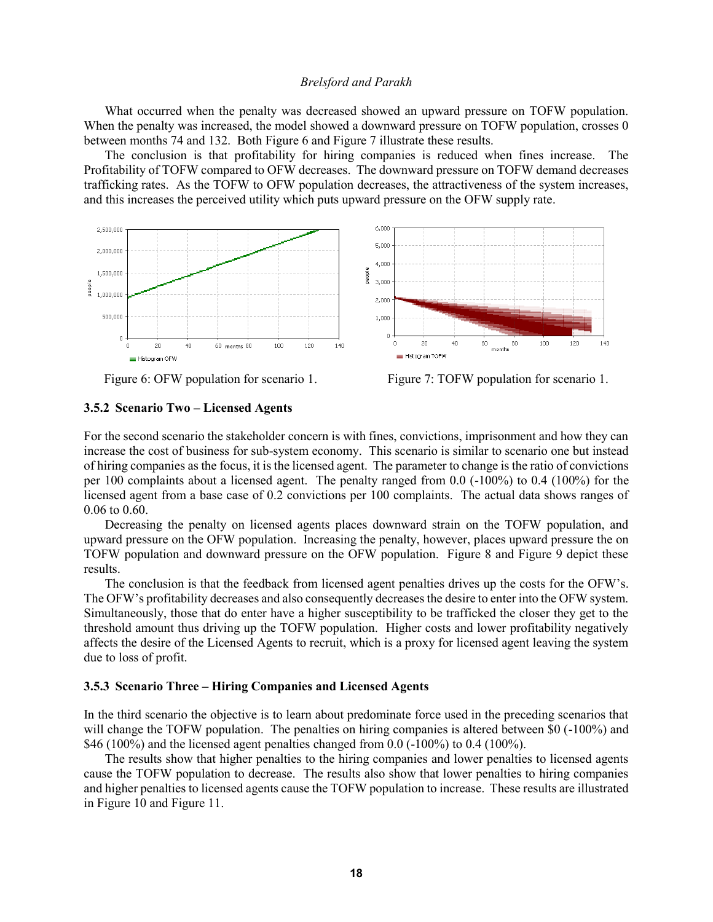What occurred when the penalty was decreased showed an upward pressure on TOFW population. When the penalty was increased, the model showed a downward pressure on TOFW population, crosses 0 between months 74 and 132. Both Figure 6 and Figure 7 illustrate these results.

The conclusion is that profitability for hiring companies is reduced when fines increase. The Profitability of TOFW compared to OFW decreases. The downward pressure on TOFW demand decreases trafficking rates. As the TOFW to OFW population decreases, the attractiveness of the system increases, and this increases the perceived utility which puts upward pressure on the OFW supply rate.





Figure 6: OFW population for scenario 1.Figure 7: TOFW population for scenario 1.

#### **3.5.2 Scenario Two – Licensed Agents**

For the second scenario the stakeholder concern is with fines, convictions, imprisonment and how they can increase the cost of business for sub-system economy. This scenario is similar to scenario one but instead of hiring companies as the focus, it is the licensed agent. The parameter to change is the ratio of convictions per 100 complaints about a licensed agent. The penalty ranged from 0.0 (-100%) to 0.4 (100%) for the licensed agent from a base case of 0.2 convictions per 100 complaints. The actual data shows ranges of 0.06 to 0.60.

Decreasing the penalty on licensed agents places downward strain on the TOFW population, and upward pressure on the OFW population. Increasing the penalty, however, places upward pressure the on TOFW population and downward pressure on the OFW population. Figure 8 and Figure 9 depict these results.

The conclusion is that the feedback from licensed agent penalties drives up the costs for the OFW's. The OFW's profitability decreases and also consequently decreases the desire to enter into the OFW system. Simultaneously, those that do enter have a higher susceptibility to be trafficked the closer they get to the threshold amount thus driving up the TOFW population. Higher costs and lower profitability negatively affects the desire of the Licensed Agents to recruit, which is a proxy for licensed agent leaving the system due to loss of profit.

## **3.5.3 Scenario Three – Hiring Companies and Licensed Agents**

In the third scenario the objective is to learn about predominate force used in the preceding scenarios that will change the TOFW population. The penalties on hiring companies is altered between \$0 (-100%) and \$46 (100%) and the licensed agent penalties changed from  $0.0$  (-100%) to 0.4 (100%).

The results show that higher penalties to the hiring companies and lower penalties to licensed agents cause the TOFW population to decrease. The results also show that lower penalties to hiring companies and higher penalties to licensed agents cause the TOFW population to increase. These results are illustrated in Figure 10 and Figure 11.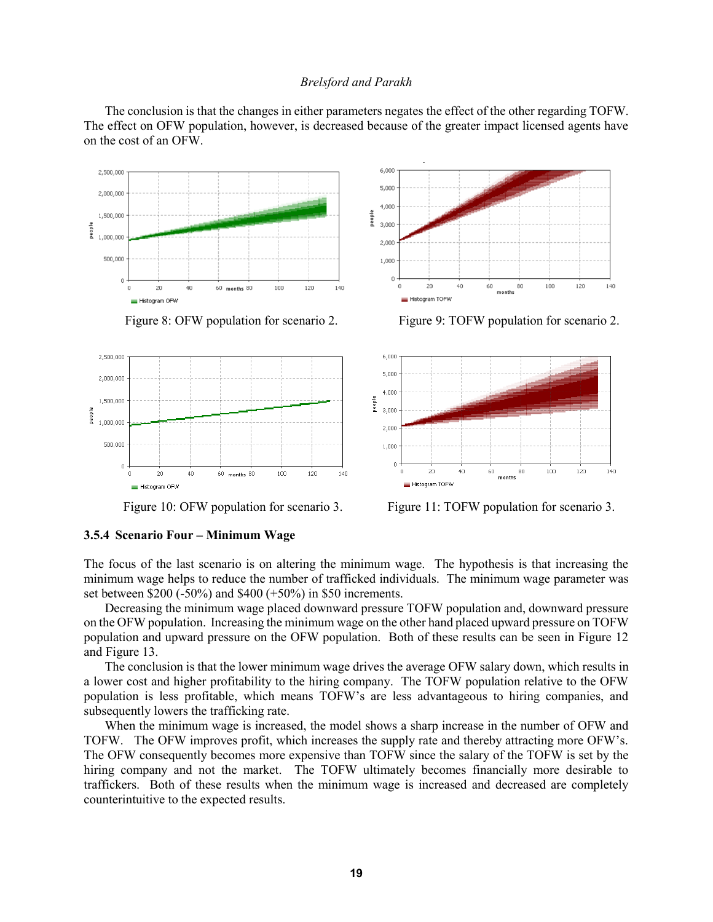The conclusion is that the changes in either parameters negates the effect of the other regarding TOFW. The effect on OFW population, however, is decreased because of the greater impact licensed agents have on the cost of an OFW.







Figure 8: OFW population for scenario 2. Figure 9: TOFW population for scenario 2.



Figure 10: OFW population for scenario 3. Figure 11: TOFW population for scenario 3.

## **3.5.4 Scenario Four – Minimum Wage**

The focus of the last scenario is on altering the minimum wage. The hypothesis is that increasing the minimum wage helps to reduce the number of trafficked individuals. The minimum wage parameter was set between \$200 (-50%) and \$400 (+50%) in \$50 increments.

Decreasing the minimum wage placed downward pressure TOFW population and, downward pressure on the OFW population. Increasing the minimum wage on the other hand placed upward pressure on TOFW population and upward pressure on the OFW population. Both of these results can be seen in Figure 12 and Figure 13.

The conclusion is that the lower minimum wage drives the average OFW salary down, which results in a lower cost and higher profitability to the hiring company. The TOFW population relative to the OFW population is less profitable, which means TOFW's are less advantageous to hiring companies, and subsequently lowers the trafficking rate.

When the minimum wage is increased, the model shows a sharp increase in the number of OFW and TOFW. The OFW improves profit, which increases the supply rate and thereby attracting more OFW's. The OFW consequently becomes more expensive than TOFW since the salary of the TOFW is set by the hiring company and not the market. The TOFW ultimately becomes financially more desirable to traffickers. Both of these results when the minimum wage is increased and decreased are completely counterintuitive to the expected results.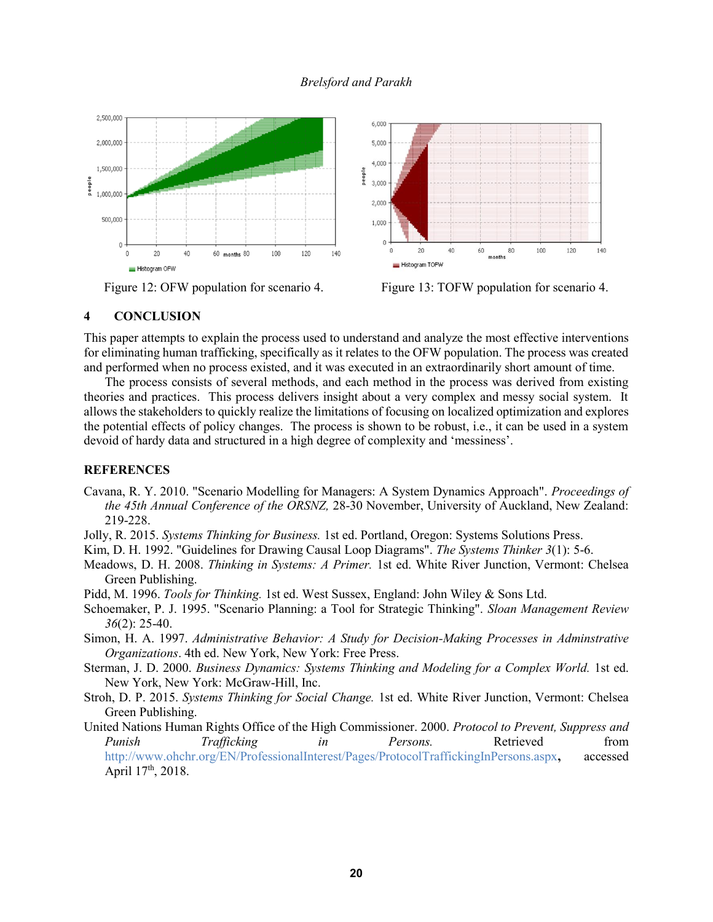

Figure 12: OFW population for scenario 4. Figure 13: TOFW population for scenario 4.

## **4 CONCLUSION**

This paper attempts to explain the process used to understand and analyze the most effective interventions for eliminating human trafficking, specifically as it relates to the OFW population. The process was created and performed when no process existed, and it was executed in an extraordinarily short amount of time.

The process consists of several methods, and each method in the process was derived from existing theories and practices. This process delivers insight about a very complex and messy social system. It allows the stakeholders to quickly realize the limitations of focusing on localized optimization and explores the potential effects of policy changes. The process is shown to be robust, i.e., it can be used in a system devoid of hardy data and structured in a high degree of complexity and 'messiness'.

### **REFERENCES**

Cavana, R. Y. 2010. "Scenario Modelling for Managers: A System Dynamics Approach". *Proceedings of the 45th Annual Conference of the ORSNZ,* 28-30 November, University of Auckland, New Zealand: 219-228.

Jolly, R. 2015. *Systems Thinking for Business.* 1st ed. Portland, Oregon: Systems Solutions Press.

- Kim, D. H. 1992. "Guidelines for Drawing Causal Loop Diagrams". *The Systems Thinker 3*(1): 5-6.
- Meadows, D. H. 2008. *Thinking in Systems: A Primer.* 1st ed. White River Junction, Vermont: Chelsea Green Publishing.
- Pidd, M. 1996. *Tools for Thinking.* 1st ed. West Sussex, England: John Wiley & Sons Ltd.
- Schoemaker, P. J. 1995. "Scenario Planning: a Tool for Strategic Thinking". *Sloan Management Review 36*(2): 25-40.
- Simon, H. A. 1997. *Administrative Behavior: A Study for Decision-Making Processes in Adminstrative Organizations*. 4th ed. New York, New York: Free Press.
- Sterman, J. D. 2000. *Business Dynamics: Systems Thinking and Modeling for a Complex World.* 1st ed. New York, New York: McGraw-Hill, Inc.
- Stroh, D. P. 2015. *Systems Thinking for Social Change.* 1st ed. White River Junction, Vermont: Chelsea Green Publishing.
- United Nations Human Rights Office of the High Commissioner. 2000. *Protocol to Prevent, Suppress and Punish Trafficking in Persons.* Retrieved from http://www.ohchr.org/EN/ProfessionalInterest/Pages/ProtocolTraffickingInPersons.aspx**,** accessed April 17<sup>th</sup>, 2018.